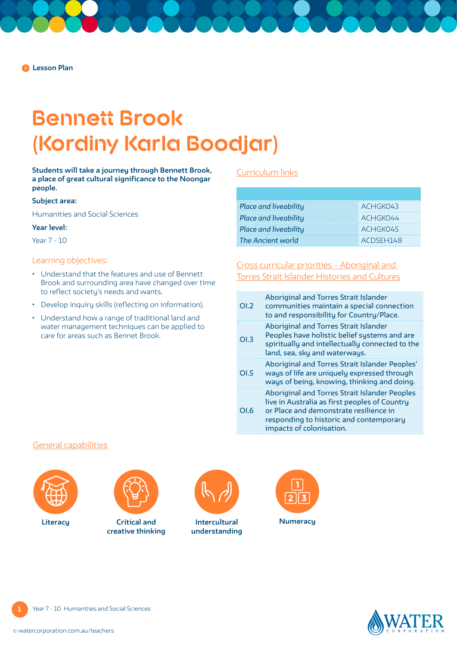# **Bennett Brook (Kordiny Karla Boodjar)**

**Students will take a journey through Bennett Brook, a place of great cultural significance to the Noongar people.**

# **Subject area:**

Humanities and Social Sciences

### **Year level:**

Year 7 - 10

### Learning objectives:

- Understand that the features and use of Bennett Brook and surrounding area have changed over time to reflect society's needs and wants.
- Develop inquiry skills (reflecting on information).
- Understand how a range of traditional land and water management techniques can be applied to care for areas such as Bennet Brook.

# [Curriculum links](https://k10outline.scsa.wa.edu.au/home/teaching/curriculum-browser/humanities-and-social-sciences)

| <b>Place and liveability</b> | $ACH$ GKO43     |
|------------------------------|-----------------|
| Place and liveability        | <b>ACHGK044</b> |
| Place and liveability        | <b>ACHGK045</b> |
| The Ancient world            | $K$ ACDSFH148   |

[Cross curricular priorities – Aboriginal and](https://www.australiancurriculum.edu.au/f-10-curriculum/cross-curriculum-priorities/aboriginal-and-torres-strait-islander-histories-and-cultures/)  [Torres Strait Islander Histories and Cultures](https://www.australiancurriculum.edu.au/f-10-curriculum/cross-curriculum-priorities/aboriginal-and-torres-strait-islander-histories-and-cultures/)

| OL2 | Aboriginal and Torres Strait Islander<br>communities maintain a special connection<br>to and responsibility for Country/Place.                                                                                  |
|-----|-----------------------------------------------------------------------------------------------------------------------------------------------------------------------------------------------------------------|
| OL3 | Aboriginal and Torres Strait Islander<br>Peoples have holistic belief systems and are<br>spiritually and intellectually connected to the<br>land, sea, sky and waterways.                                       |
| OLS | Aboriginal and Torres Strait Islander Peoples'<br>ways of life are uniquely expressed through<br>ways of being, knowing, thinking and doing.                                                                    |
| OL6 | Aboriginal and Torres Strait Islander Peoples<br>live in Australia as first peoples of Country<br>or Place and demonstrate resilience in<br>responding to historic and contemporary<br>impacts of colonisation. |

# [General capabilities](https://k10outline.scsa.wa.edu.au/home/p-10-curriculum/general-capabilities-over/general-capabilities-overview/general-capabilities-in-the-australian-curriculum)





**Critical and creative thinking** Literacy **Critical and Intercultural** 



**understanding**





**1**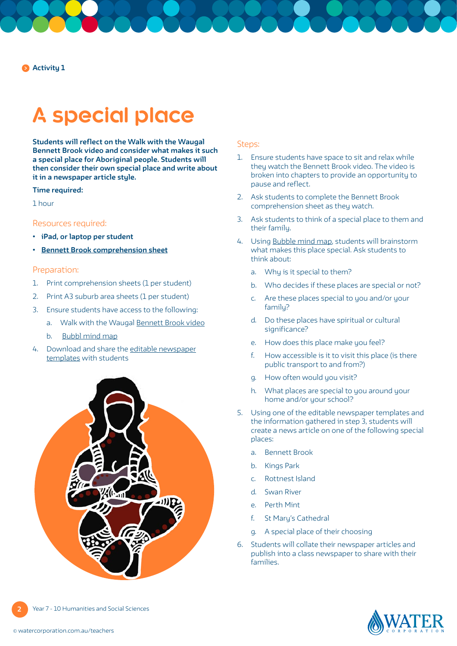**Activity 1**

# **A special place**

**Students will reflect on the Walk with the Waugal Bennett Brook video and consider what makes it such a special place for Aboriginal people. Students will then consider their own special place and write about it in a newspaper article style.**

## **Time required:**

1 hour

# Resources required:

- **• iPad, or laptop per student**
- **• [Bennett Brook comprehension sheet](https://pw-cdn.watercorporation.com.au/-/media/WaterCorp/Documents/Education/Water-in-Aboriginal-culture/Comprehension-sheets/Bennett-Brook---WIAC.pdf?rev=698d13bb712c4b6abfde8ec504519e29)**

## Preparation:

- 1. Print comprehension sheets (1 per student)
- 2. Print A3 suburb area sheets (1 per student)
- 3. Ensure students have access to the following:
	- a. Walk with the [Waugal Bennett Brook video](https://www.watercorporation.com.au/home/education/water-in-aboriginal-culture/walk-with-the-waugal-videos)
	- b. [Bubbl mind map](https://bubbl.us)
- 4. Download and share the [editable newspaper](https://www.presentationmagazine.com/editable-newspaper-portrait-2800.htm) [templates](https://www.presentationmagazine.com/editable-newspaper-portrait-2800.htm) with students



## Steps:

- 1. Ensure students have space to sit and relax while they watch the Bennett Brook video. The video is broken into chapters to provide an opportunity to pause and reflect.
- 2. Ask students to complete the Bennett Brook comprehension sheet as they watch.
- 3. Ask students to think of a special place to them and their family.
- 4. Using [Bubble mind map,](https://bubbl.us) students will brainstorm what makes this place special. Ask students to think about:
	- a. Why is it special to them?
	- b. Who decides if these places are special or not?
	- c. Are these places special to you and/or your familu?
	- d. Do these places have spiritual or cultural significance?
	- e. How does this place make you feel?
	- f. How accessible is it to visit this place (is there public transport to and from?)
	- g. How often would you visit?
	- h. What places are special to you around your home and/or your school?
- 5. Using one of the editable newspaper templates and the information gathered in step 3, students will create a news article on one of the following special places:
	- a. Bennett Brook
	- b. Kings Park
	- c. Rottnest Island
	- d. Swan River
	- e. Perth Mint
	- f. St Mary's Cathedral
	- g. A special place of their choosing
- 6. Students will collate their newspaper articles and publish into a class newspaper to share with their families.

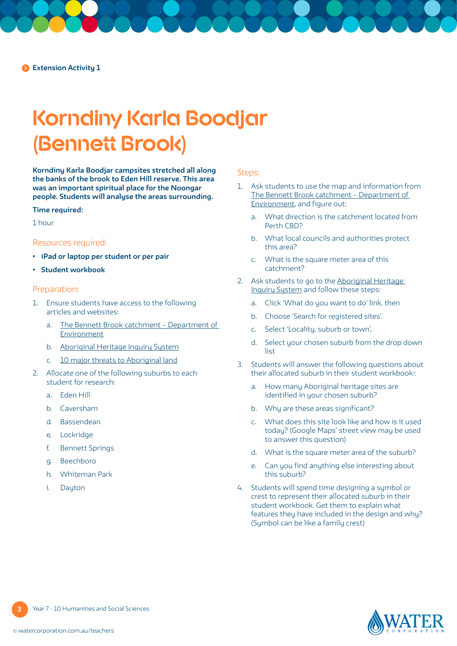# **Korndiny Karla Boodjar (Bennett Brook)**

**Korndiny Karla Boodjar campsites stretched all along the banks of the brook to Eden Hill reserve. This area was an important spiritual place for the Noongar people. Students will analyse the areas surrounding.**

#### **Time required:**

1 hour

#### Resources required:

- **• iPad or laptop per student or per pair**
- **• Student workbook**

# Preparation:

- 1. Ensure students have access to the following articles and websites:
	- a. [The Bennett Brook catchment Department of](https://www.der.wa.gov.au/images/documents/our-work/programs/light_industry/LWQIP_Bennett_Brook.pdf)  [Environment](https://www.der.wa.gov.au/images/documents/our-work/programs/light_industry/LWQIP_Bennett_Brook.pdf)
	- b. [Aboriginal Heritage Inquiry System](https://maps.daa.wa.gov.au/AHIS/)
	- c. [10 major threats to Aboriginal land](https://www.creativespirits.info/aboriginalculture/land/threats-to-aboriginal-land)
- 2. Allocate one of the following suburbs to each student for research:
	- a. Eden Hill
	- b. Caversham
	- d. Bassendean
	- e, Lockridge
	- f. Bennett Springs
	- g. Beechboro
	- h. Whiteman Park
	- i. Dayton

## Steps:

- 1. Ask students to use the map and information from [The Bennett Brook catchment – Department of](https://www.der.wa.gov.au/images/documents/our-work/programs/light_industry/LWQIP_Bennett_Brook.pdf)  [Environment,](https://www.der.wa.gov.au/images/documents/our-work/programs/light_industry/LWQIP_Bennett_Brook.pdf) and figure out:
	- a. What direction is the catchment located from Perth CBD?
	- b. What local councils and authorities protect this area?
	- c. What is the square meter area of this catchment?
- 2. Ask students to go to the Aboriginal Heritage [Inquiry System](https://espatial.dplh.wa.gov.au/AHIS/index.html?viewer=AHIS) and follow these steps:
	- a. Click 'What do you want to do' link, then
	- b. Choose 'Search for registered sites'.
	- c. Select 'Locality, suburb or town',
	- d. Select your chosen suburb from the drop down list
- 3. Students will answer the following questions about their allocated suburb in their student workbook::
	- a. How many Aboriginal heritage sites are identified in your chosen suburb?
	- b. Why are these areas significant?
	- c. What does this site look like and how is it used today? (Google Maps' street view may be used to answer this question)
	- d. What is the square meter area of the suburb?
	- e. Can you find anything else interesting about this suburb?
- 4. Students will spend time designing a symbol or crest to represent their allocated suburb in their student workbook. Get them to explain what features they have included in the design and why? (Symbol can be like a family crest)

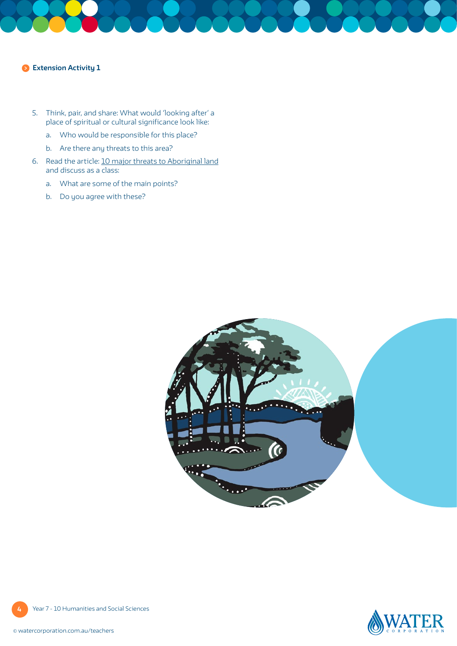## **Extension Activity 1**

- 5. Think, pair, and share: What would 'looking after' a place of spiritual or cultural significance look like:
	- a. Who would be responsible for this place?
	- b. Are there any threats to this area?
- 6. Read the article: [10 major threats to Aboriginal land](https://www.creativespirits.info/aboriginalculture/land/threats-to-aboriginal-land) and discuss as a class:
	- a. What are some of the main points?
	- b. Do you agree with these?



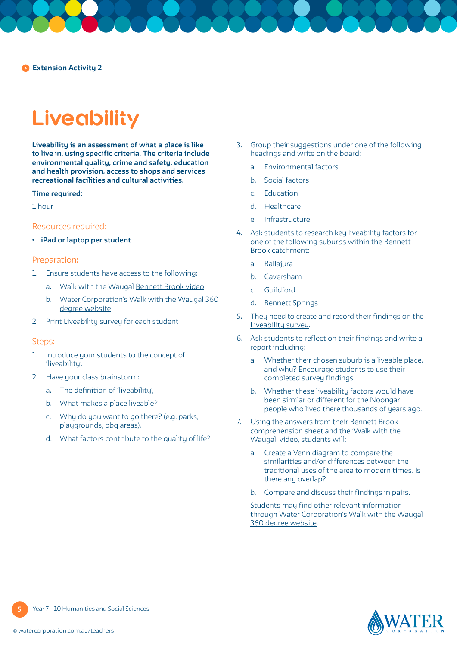# **Liveability**

**Liveability is an assessment of what a place is like to live in, using specific criteria. The criteria include environmental quality, crime and safety, education and health provision, access to shops and services recreational facilities and cultural activities.**

#### **Time required:**

1 hour

## Resources required:

**• iPad or laptop per student**

### Preparation:

- 1. Ensure students have access to the following:
	- a. Walk with the Waugal [Bennett Brook video](https://www.watercorporation.com.au/home/education/water-in-aboriginal-culture/walk-with-the-waugal-videos)
	- b. Water Corporation's [Walk with the Waugal 360](https://www.walkwiththewaugal.com.au/index.html)  [degree website](https://www.walkwiththewaugal.com.au/index.html)
- 2. Print [Liveability survey](#page-5-0) for each student

#### Steps:

- 1. Introduce your students to the concept of 'liveability'.
- 2. Have your class brainstorm:
	- a. The definition of 'liveability',
	- b. What makes a place liveable?
	- c. Why do you want to go there? (e.g. parks, playgrounds, bbq areas).
	- d. What factors contribute to the quality of life?
- 3. Group their suggestions under one of the following headings and write on the board:
	- a. Environmental factors
	- b. Social factors
	- c. Education
	- d. Healthcare
	- e. Infrastructure
- 4. Ask students to research key liveability factors for one of the following suburbs within the Bennett Brook catchment:
	- a. Ballajura
	- b. Caversham
	- c. Guildford
	- d. Bennett Springs
- 5. They need to create and record their findings on the [Liveability survey.](#page-5-0)
- 6. Ask students to reflect on their findings and write a report including:
	- a. Whether their chosen suburb is a liveable place, and why? Encourage students to use their completed survey findings.
	- b. Whether these liveability factors would have been similar or different for the Noongar people who lived there thousands of years ago.
- 7. Using the answers from their Bennett Brook comprehension sheet and the 'Walk with the Waugal' video, students will:
	- a. Create a Venn diagram to compare the similarities and/or differences between the traditional uses of the area to modern times. Is there any overlap?
	- b. Compare and discuss their findings in pairs.

 Students may find other relevant information through Water Corporation's [Walk with the Waugal](https://www.walkwiththewaugal.com.au/index.html)  [360 degree website.](https://www.walkwiththewaugal.com.au/index.html)



**5**